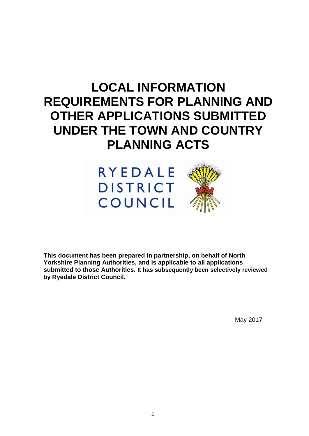# **LOCAL INFORMATION REQUIREMENTS FOR PLANNING AND OTHER APPLICATIONS SUBMITTED UNDER THE TOWN AND COUNTRY PLANNING ACTS**



**This document has been prepared in partnership, on behalf of North Yorkshire Planning Authorities, and is applicable to all applications submitted to those Authorities. It has subsequently been selectively reviewed by Ryedale District Council.**

May 2017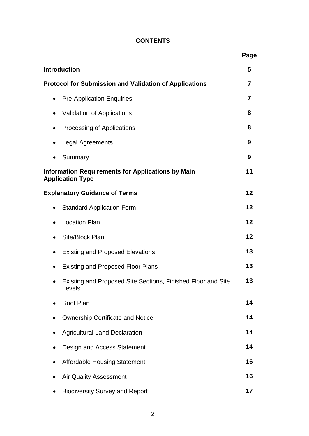# **CONTENTS**

|           |                                                                                     | Page           |
|-----------|-------------------------------------------------------------------------------------|----------------|
|           | <b>Introduction</b>                                                                 | 5              |
|           | <b>Protocol for Submission and Validation of Applications</b>                       | 7              |
| $\bullet$ | <b>Pre-Application Enquiries</b>                                                    | $\overline{7}$ |
| $\bullet$ | Validation of Applications                                                          | 8              |
| ٠         | Processing of Applications                                                          | 8              |
|           | Legal Agreements                                                                    | 9              |
|           | Summary                                                                             | 9              |
|           | <b>Information Requirements for Applications by Main</b><br><b>Application Type</b> | 11             |
|           | <b>Explanatory Guidance of Terms</b>                                                | 12             |
|           | <b>Standard Application Form</b>                                                    | 12             |
|           | <b>Location Plan</b>                                                                | 12             |
|           | Site/Block Plan                                                                     | 12             |
|           | <b>Existing and Proposed Elevations</b>                                             | 13             |
|           | <b>Existing and Proposed Floor Plans</b>                                            | 13             |
|           | Existing and Proposed Site Sections, Finished Floor and Site<br>Levels              | 13             |
|           | Roof Plan                                                                           | 14             |
|           | <b>Ownership Certificate and Notice</b>                                             | 14             |
|           | <b>Agricultural Land Declaration</b>                                                | 14             |
|           | Design and Access Statement                                                         | 14             |
|           | <b>Affordable Housing Statement</b>                                                 | 16             |
|           | <b>Air Quality Assessment</b>                                                       | 16             |
|           | <b>Biodiversity Survey and Report</b>                                               | 17             |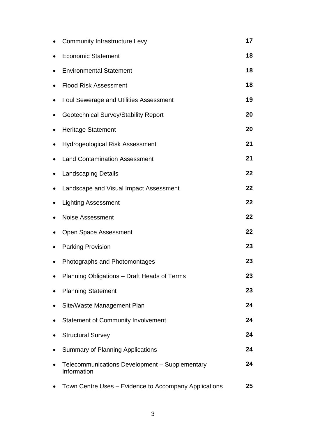| <b>Community Infrastructure Levy</b>                          | 17 |
|---------------------------------------------------------------|----|
| <b>Economic Statement</b>                                     | 18 |
| <b>Environmental Statement</b>                                | 18 |
| <b>Flood Risk Assessment</b>                                  | 18 |
| <b>Foul Sewerage and Utilities Assessment</b>                 | 19 |
| <b>Geotechnical Survey/Stability Report</b>                   | 20 |
| <b>Heritage Statement</b>                                     | 20 |
| <b>Hydrogeological Risk Assessment</b>                        | 21 |
| <b>Land Contamination Assessment</b>                          | 21 |
| <b>Landscaping Details</b>                                    | 22 |
| Landscape and Visual Impact Assessment                        | 22 |
| <b>Lighting Assessment</b>                                    | 22 |
| <b>Noise Assessment</b>                                       | 22 |
| Open Space Assessment                                         | 22 |
| <b>Parking Provision</b>                                      | 23 |
| Photographs and Photomontages                                 | 23 |
| Planning Obligations - Draft Heads of Terms                   | 23 |
| <b>Planning Statement</b>                                     | 23 |
| Site/Waste Management Plan                                    | 24 |
| <b>Statement of Community Involvement</b>                     | 24 |
| <b>Structural Survey</b>                                      | 24 |
| <b>Summary of Planning Applications</b>                       | 24 |
| Telecommunications Development - Supplementary<br>Information | 24 |
| Town Centre Uses – Evidence to Accompany Applications         | 25 |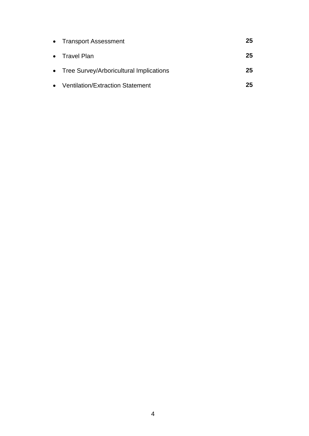| • Transport Assessment                    | 25 |
|-------------------------------------------|----|
| $\bullet$ Travel Plan                     | 25 |
| • Tree Survey/Arboricultural Implications | 25 |
| • Ventilation/Extraction Statement        | 25 |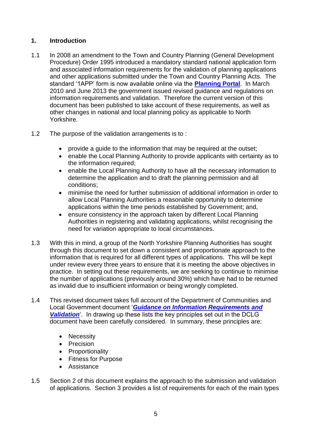# **1. Introduction**

- 1.1 In 2008 an amendment to the Town and Country Planning (General Development Procedure) Order 1995 introduced a mandatory standard national application form and associated information requirements for the validation of planning applications and other applications submitted under the Town and Country Planning Acts. The standard '1APP' form is now available online via the **[Planning Portal](http://www.planningportal.gov.uk/)**. In March 2010 and June 2013 the government issued revised guidance and regulations on information requirements and validation. Therefore the current version of this document has been published to take account of these requirements, as well as other changes in national and local planning policy as applicable to North Yorkshire.
- 1.2 The purpose of the validation arrangements is to :
	- provide a guide to the information that may be required at the outset;
	- enable the Local Planning Authority to provide applicants with certainty as to the information required;
	- enable the Local Planning Authority to have all the necessary information to determine the application and to draft the planning permission and all conditions;
	- minimise the need for further submission of additional information in order to allow Local Planning Authorities a reasonable opportunity to determine applications within the time periods established by Government; and,
	- ensure consistency in the approach taken by different Local Planning Authorities in registering and validating applications, whilst recognising the need for variation appropriate to local circumstances.
- 1.3 With this in mind, a group of the North Yorkshire Planning Authorities has sought through this document to set down a consistent and proportionate approach to the information that is required for all different types of applications. This will be kept under review every three years to ensure that it is meeting the above objectives in practice. In setting out these requirements, we are seeking to continue to minimise the number of applications (previously around 30%) which have had to be returned as invalid due to insufficient information or being wrongly completed.
- 1.4 This revised document takes full account of the Department of Communities and Local Government document '*[Guidance on Information Requirements and](http://www.communities.gov.uk/publications/planningandbuilding/validationguidance)  [Validation](http://www.communities.gov.uk/publications/planningandbuilding/validationguidance)*'. In drawing up these lists the key principles set out in the DCLG document have been carefully considered. In summary, these principles are:
	- Necessity
	- Precision
	- Proportionality
	- Fitness for Purpose
	- Assistance
- 1.5 Section 2 of this document explains the approach to the submission and validation of applications. Section 3 provides a list of requirements for each of the main types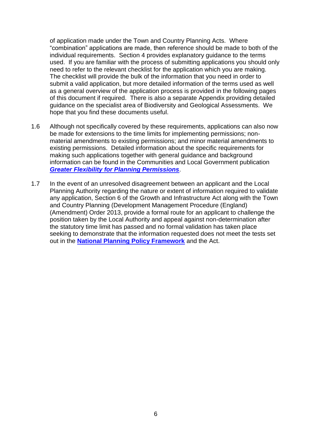of application made under the Town and Country Planning Acts. Where "combination" applications are made, then reference should be made to both of the individual requirements. Section 4 provides explanatory guidance to the terms used. If you are familiar with the process of submitting applications you should only need to refer to the relevant checklist for the application which you are making. The checklist will provide the bulk of the information that you need in order to submit a valid application, but more detailed information of the terms used as well as a general overview of the application process is provided in the following pages of this document if required. There is also a separate Appendix providing detailed guidance on the specialist area of Biodiversity and Geological Assessments. We hope that you find these documents useful.

- 1.6 Although not specifically covered by these requirements, applications can also now be made for extensions to the time limits for implementing permissions; nonmaterial amendments to existing permissions; and minor material amendments to existing permissions. Detailed information about the specific requirements for making such applications together with general guidance and background information can be found in the Communities and Local Government publication *[Greater Flexibility for Planning Permissions](http://www.communities.gov.uk/documents/planningandbuilding/pdf/1729942.pdf)*.
- 1.7 In the event of an unresolved disagreement between an applicant and the Local Planning Authority regarding the nature or extent of information required to validate any application, Section 6 of the Growth and Infrastructure Act along with the Town and Country Planning (Development Management Procedure (England) (Amendment) Order 2013, provide a formal route for an applicant to challenge the position taken by the Local Authority and appeal against non-determination after the statutory time limit has passed and no formal validation has taken place seeking to demonstrate that the information requested does not meet the tests set out in the **[National Planning Policy Framework](https://www.gov.uk/government/uploads/system/uploads/attachment_data/file/6077/2116950.pdf)** and the Act.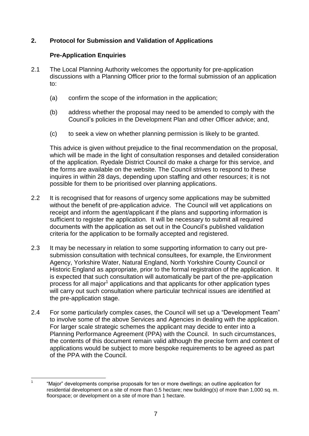# **2. Protocol for Submission and Validation of Applications**

# **Pre-Application Enquiries**

- 2.1 The Local Planning Authority welcomes the opportunity for pre-application discussions with a Planning Officer prior to the formal submission of an application to:
	- (a) confirm the scope of the information in the application;
	- (b) address whether the proposal may need to be amended to comply with the Council's policies in the Development Plan and other Officer advice; and,
	- (c) to seek a view on whether planning permission is likely to be granted.

This advice is given without prejudice to the final recommendation on the proposal, which will be made in the light of consultation responses and detailed consideration of the application. Ryedale District Council do make a charge for this service, and the forms are available on the website. The Council strives to respond to these inquires in within 28 days, depending upon staffing and other resources; it is not possible for them to be prioritised over planning applications.

- 2.2 It is recognised that for reasons of urgency some applications may be submitted without the benefit of pre-application advice. The Council will vet applications on receipt and inform the agent/applicant if the plans and supporting information is sufficient to register the application. It will be necessary to submit all required documents with the application as set out in the Council's published validation criteria for the application to be formally accepted and registered.
- 2.3 It may be necessary in relation to some supporting information to carry out presubmission consultation with technical consultees, for example, the Environment Agency, Yorkshire Water, Natural England, North Yorkshire County Council or Historic England as appropriate, prior to the formal registration of the application. It is expected that such consultation will automatically be part of the pre-application process for all major<sup>1</sup> applications and that applicants for other application types will carry out such consultation where particular technical issues are identified at the pre-application stage.
- 2.4 For some particularly complex cases, the Council will set up a "Development Team" to involve some of the above Services and Agencies in dealing with the application. For larger scale strategic schemes the applicant may decide to enter into a Planning Performance Agreement (PPA) with the Council. In such circumstances, the contents of this document remain valid although the precise form and content of applications would be subject to more bespoke requirements to be agreed as part of the PPA with the Council.

 $\frac{1}{1}$ "Major" developments comprise proposals for ten or more dwellings; an outline application for residential development on a site of more than 0.5 hectare; new building(s) of more than 1,000 sq. m. floorspace; or development on a site of more than 1 hectare.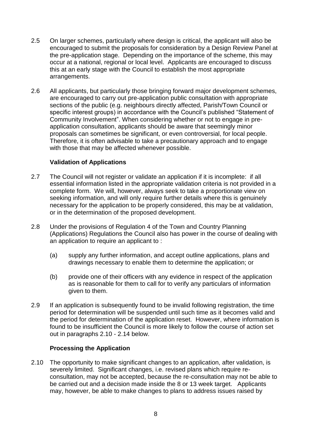- 2.5 On larger schemes, particularly where design is critical, the applicant will also be encouraged to submit the proposals for consideration by a Design Review Panel at the pre-application stage. Depending on the importance of the scheme, this may occur at a national, regional or local level. Applicants are encouraged to discuss this at an early stage with the Council to establish the most appropriate arrangements.
- 2.6 All applicants, but particularly those bringing forward major development schemes, are encouraged to carry out pre-application public consultation with appropriate sections of the public (e.g. neighbours directly affected, Parish/Town Council or specific interest groups) in accordance with the Council's published "Statement of Community Involvement". When considering whether or not to engage in preapplication consultation, applicants should be aware that seemingly minor proposals can sometimes be significant, or even controversial, for local people. Therefore, it is often advisable to take a precautionary approach and to engage with those that may be affected whenever possible.

# **Validation of Applications**

- 2.7 The Council will not register or validate an application if it is incomplete: if all essential information listed in the appropriate validation criteria is not provided in a complete form. We will, however, always seek to take a proportionate view on seeking information, and will only require further details where this is genuinely necessary for the application to be properly considered, this may be at validation, or in the determination of the proposed development.
- 2.8 Under the provisions of Regulation 4 of the Town and Country Planning (Applications) Regulations the Council also has power in the course of dealing with an application to require an applicant to :
	- (a) supply any further information, and accept outline applications, plans and drawings necessary to enable them to determine the application; or
	- (b) provide one of their officers with any evidence in respect of the application as is reasonable for them to call for to verify any particulars of information given to them.
- 2.9 If an application is subsequently found to be invalid following registration, the time period for determination will be suspended until such time as it becomes valid and the period for determination of the application reset. However, where information is found to be insufficient the Council is more likely to follow the course of action set out in paragraphs 2.10 - 2.14 below.

#### **Processing the Application**

2.10 The opportunity to make significant changes to an application, after validation, is severely limited. Significant changes, i.e. revised plans which require reconsultation, may not be accepted, because the re-consultation may not be able to be carried out and a decision made inside the 8 or 13 week target. Applicants may, however, be able to make changes to plans to address issues raised by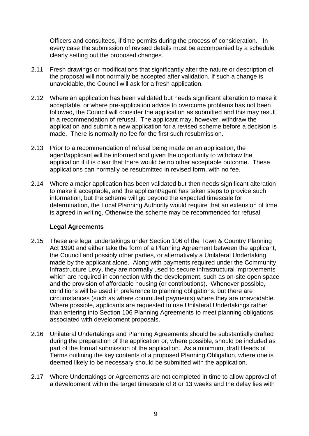Officers and consultees, if time permits during the process of consideration. In every case the submission of revised details must be accompanied by a schedule clearly setting out the proposed changes.

- 2.11 Fresh drawings or modifications that significantly alter the nature or description of the proposal will not normally be accepted after validation. If such a change is unavoidable, the Council will ask for a fresh application.
- 2.12 Where an application has been validated but needs significant alteration to make it acceptable, or where pre-application advice to overcome problems has not been followed, the Council will consider the application as submitted and this may result in a recommendation of refusal. The applicant may, however, withdraw the application and submit a new application for a revised scheme before a decision is made. There is normally no fee for the first such resubmission.
- 2.13 Prior to a recommendation of refusal being made on an application, the agent/applicant will be informed and given the opportunity to withdraw the application if it is clear that there would be no other acceptable outcome. These applications can normally be resubmitted in revised form, with no fee.
- 2.14 Where a major application has been validated but then needs significant alteration to make it acceptable, and the applicant/agent has taken steps to provide such information, but the scheme will go beyond the expected timescale for determination, the Local Planning Authority would require that an extension of time is agreed in writing. Otherwise the scheme may be recommended for refusal.

# **Legal Agreements**

- 2.15 These are legal undertakings under Section 106 of the Town & Country Planning Act 1990 and either take the form of a Planning Agreement between the applicant, the Council and possibly other parties, or alternatively a Unilateral Undertaking made by the applicant alone. Along with payments required under the Community Infrastructure Levy, they are normally used to secure infrastructural improvements which are required in connection with the development, such as on-site open space and the provision of affordable housing (or contributions). Whenever possible, conditions will be used in preference to planning obligations, but there are circumstances (such as where commuted payments) where they are unavoidable. Where possible, applicants are requested to use Unilateral Undertakings rather than entering into Section 106 Planning Agreements to meet planning obligations associated with development proposals.
- 2.16 Unilateral Undertakings and Planning Agreements should be substantially drafted during the preparation of the application or, where possible, should be included as part of the formal submission of the application. As a minimum, draft Heads of Terms outlining the key contents of a proposed Planning Obligation, where one is deemed likely to be necessary should be submitted with the application.
- 2.17 Where Undertakings or Agreements are not completed in time to allow approval of a development within the target timescale of 8 or 13 weeks and the delay lies with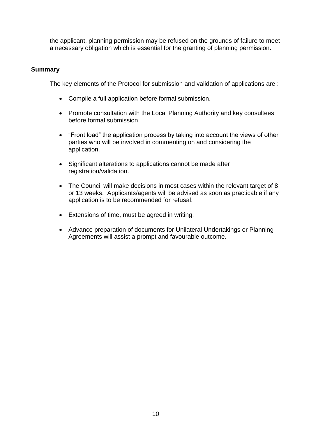the applicant, planning permission may be refused on the grounds of failure to meet a necessary obligation which is essential for the granting of planning permission.

#### **Summary**

The key elements of the Protocol for submission and validation of applications are :

- Compile a full application before formal submission.
- Promote consultation with the Local Planning Authority and key consultees before formal submission.
- "Front load" the application process by taking into account the views of other parties who will be involved in commenting on and considering the application.
- Significant alterations to applications cannot be made after registration/validation.
- The Council will make decisions in most cases within the relevant target of 8 or 13 weeks. Applicants/agents will be advised as soon as practicable if any application is to be recommended for refusal.
- Extensions of time, must be agreed in writing.
- Advance preparation of documents for Unilateral Undertakings or Planning Agreements will assist a prompt and favourable outcome.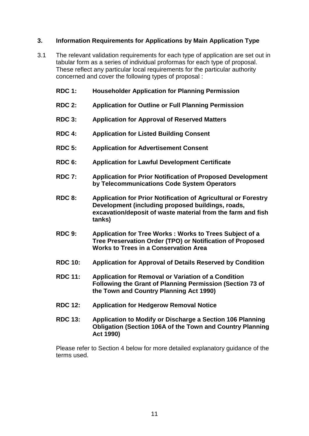# **3. Information Requirements for Applications by Main Application Type**

- 3.1 The relevant validation requirements for each type of application are set out in tabular form as a series of individual proformas for each type of proposal. These reflect any particular local requirements for the particular authority concerned and cover the following types of proposal :
	- **RDC 1: Householder Application for Planning Permission**
	- **RDC 2: Application for Outline or Full Planning Permission**
	- **RDC 3: Application for Approval of Reserved Matters**
	- **RDC 4: Application for Listed Building Consent**
	- **RDC 5: Application for Advertisement Consent**
	- **RDC 6: Application for Lawful Development Certificate**
	- **RDC 7: Application for Prior Notification of Proposed Development by Telecommunications Code System Operators**
	- **RDC 8: Application for Prior Notification of Agricultural or Forestry Development (including proposed buildings, roads, excavation/deposit of waste material from the farm and fish tanks)**
	- **RDC 9: Application for Tree Works : Works to Trees Subject of a Tree Preservation Order (TPO) or Notification of Proposed Works to Trees in a Conservation Area**
	- **RDC 10: Application for Approval of Details Reserved by Condition**
	- **RDC 11: Application for Removal or Variation of a Condition Following the Grant of Planning Permission (Section 73 of the Town and Country Planning Act 1990)**
	- **RDC 12: Application for Hedgerow Removal Notice**
	- **RDC 13: Application to Modify or Discharge a Section 106 Planning Obligation (Section 106A of the Town and Country Planning Act 1990)**

Please refer to Section 4 below for more detailed explanatory guidance of the terms used.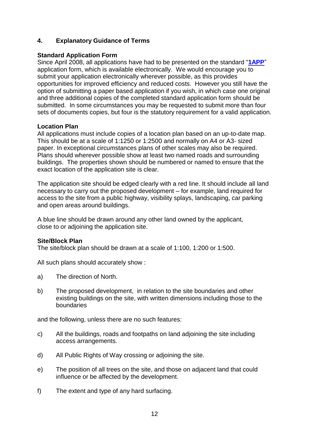# **4. Explanatory Guidance of Terms**

# **Standard Application Form**

Since April 2008, all applications have had to be presented on the standard "**[1APP](http://www.planningportal.gov.uk/PpApplications/loginRegister.jsp)**" application form, which is available electronically. We would encourage you to submit your application electronically wherever possible, as this provides opportunities for improved efficiency and reduced costs. However you still have the option of submitting a paper based application if you wish, in which case one original and three additional copies of the completed standard application form should be submitted. In some circumstances you may be requested to submit more than four sets of documents copies, but four is the statutory requirement for a valid application.

# **Location Plan**

All applications must include copies of a location plan based on an up-to-date map. This should be at a scale of 1:1250 or 1:2500 and normally on A4 or A3- sized paper. In exceptional circumstances plans of other scales may also be required. Plans should wherever possible show at least two named roads and surrounding buildings. The properties shown should be numbered or named to ensure that the exact location of the application site is clear.

The application site should be edged clearly with a red line. It should include all land necessary to carry out the proposed development – for example, land required for access to the site from a public highway, visibility splays, landscaping, car parking and open areas around buildings.

A blue line should be drawn around any other land owned by the applicant, close to or adjoining the application site.

#### **Site/Block Plan**

The site/block plan should be drawn at a scale of 1:100, 1:200 or 1:500.

All such plans should accurately show :

- a) The direction of North.
- b) The proposed development, in relation to the site boundaries and other existing buildings on the site, with written dimensions including those to the boundaries

and the following, unless there are no such features:

- c) All the buildings, roads and footpaths on land adjoining the site including access arrangements.
- d) All Public Rights of Way crossing or adjoining the site.
- e) The position of all trees on the site, and those on adjacent land that could influence or be affected by the development.
- f) The extent and type of any hard surfacing.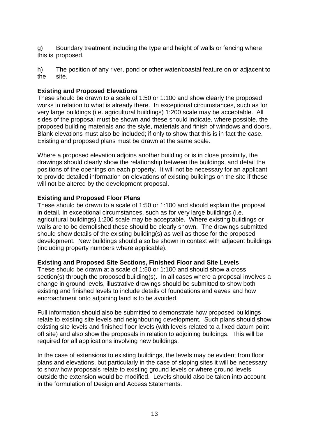g) Boundary treatment including the type and height of walls or fencing where this is proposed.

h) The position of any river, pond or other water/coastal feature on or adjacent to site.

# **Existing and Proposed Elevations**

These should be drawn to a scale of 1:50 or 1:100 and show clearly the proposed works in relation to what is already there. In exceptional circumstances, such as for very large buildings (i.e. agricultural buildings) 1:200 scale may be acceptable. All sides of the proposal must be shown and these should indicate, where possible, the proposed building materials and the style, materials and finish of windows and doors. Blank elevations must also be included; if only to show that this is in fact the case. Existing and proposed plans must be drawn at the same scale.

Where a proposed elevation adjoins another building or is in close proximity, the drawings should clearly show the relationship between the buildings, and detail the positions of the openings on each property. It will not be necessary for an applicant to provide detailed information on elevations of existing buildings on the site if these will not be altered by the development proposal.

# **Existing and Proposed Floor Plans**

These should be drawn to a scale of 1:50 or 1:100 and should explain the proposal in detail. In exceptional circumstances, such as for very large buildings (i.e. agricultural buildings) 1:200 scale may be acceptable. Where existing buildings or walls are to be demolished these should be clearly shown. The drawings submitted should show details of the existing building(s) as well as those for the proposed development. New buildings should also be shown in context with adjacent buildings (including property numbers where applicable).

# **Existing and Proposed Site Sections, Finished Floor and Site Levels**

These should be drawn at a scale of 1:50 or 1:100 and should show a cross section(s) through the proposed building(s). In all cases where a proposal involves a change in ground levels, illustrative drawings should be submitted to show both existing and finished levels to include details of foundations and eaves and how encroachment onto adjoining land is to be avoided.

Full information should also be submitted to demonstrate how proposed buildings relate to existing site levels and neighbouring development. Such plans should show existing site levels and finished floor levels (with levels related to a fixed datum point off site) and also show the proposals in relation to adjoining buildings. This will be required for all applications involving new buildings.

In the case of extensions to existing buildings, the levels may be evident from floor plans and elevations, but particularly in the case of sloping sites it will be necessary to show how proposals relate to existing ground levels or where ground levels outside the extension would be modified. Levels should also be taken into account in the formulation of Design and Access Statements.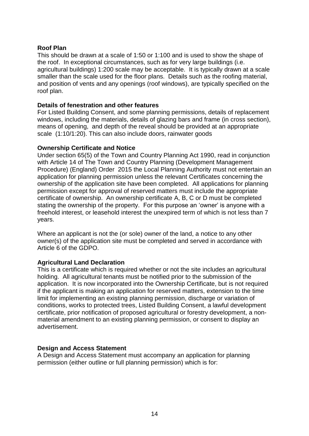#### **Roof Plan**

This should be drawn at a scale of 1:50 or 1:100 and is used to show the shape of the roof. In exceptional circumstances, such as for very large buildings (i.e. agricultural buildings) 1:200 scale may be acceptable. It is typically drawn at a scale smaller than the scale used for the floor plans. Details such as the roofing material, and position of vents and any openings (roof windows), are typically specified on the roof plan.

#### **Details of fenestration and other features**

For Listed Building Consent, and some planning permissions, details of replacement windows, including the materials, details of glazing bars and frame (in cross section), means of opening, and depth of the reveal should be provided at an appropriate scale (1:10/1:20). This can also include doors, rainwater goods

#### **Ownership Certificate and Notice**

Under section 65(5) of the Town and Country Planning Act 1990, read in conjunction with Article 14 of The Town and Country Planning (Development Management Procedure) (England) Order 2015 the Local Planning Authority must not entertain an application for planning permission unless the relevant Certificates concerning the ownership of the application site have been completed. All applications for planning permission except for approval of reserved matters must include the appropriate certificate of ownership. An ownership certificate A, B, C or D must be completed stating the ownership of the property. For this purpose an 'owner' is anyone with a freehold interest, or leasehold interest the unexpired term of which is not less than 7 years.

Where an applicant is not the (or sole) owner of the land, a notice to any other owner(s) of the application site must be completed and served in accordance with Article 6 of the GDPO.

#### **Agricultural Land Declaration**

This is a certificate which is required whether or not the site includes an agricultural holding. All agricultural tenants must be notified prior to the submission of the application. It is now incorporated into the Ownership Certificate, but is not required if the applicant is making an application for reserved matters, extension to the time limit for implementing an existing planning permission, discharge or variation of conditions, works to protected trees, Listed Building Consent, a lawful development certificate, prior notification of proposed agricultural or forestry development, a nonmaterial amendment to an existing planning permission, or consent to display an advertisement.

#### **Design and Access Statement**

A Design and Access Statement must accompany an application for planning permission (either outline or full planning permission) which is for: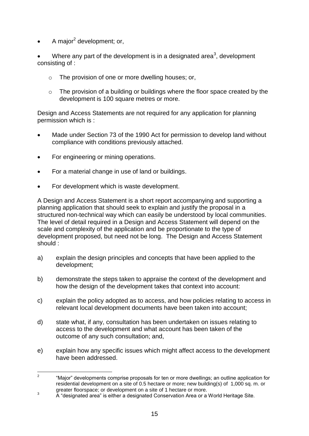• A major<sup>2</sup> development; or,

• Where any part of the development is in a designated area<sup>3</sup>, development consisting of :

- o The provision of one or more dwelling houses; or,
- o The provision of a building or buildings where the floor space created by the development is 100 square metres or more.

Design and Access Statements are not required for any application for planning permission which is :

- Made under Section 73 of the 1990 Act for permission to develop land without compliance with conditions previously attached.
- For engineering or mining operations.
- For a material change in use of land or buildings.
- For development which is waste development.

A Design and Access Statement is a short report accompanying and supporting a planning application that should seek to explain and justify the proposal in a structured non-technical way which can easily be understood by local communities. The level of detail required in a Design and Access Statement will depend on the scale and complexity of the application and be proportionate to the type of development proposed, but need not be long. The Design and Access Statement should :

- a) explain the design principles and concepts that have been applied to the development;
- b) demonstrate the steps taken to appraise the context of the development and how the design of the development takes that context into account:
- c) explain the policy adopted as to access, and how policies relating to access in relevant local development documents have been taken into account;
- d) state what, if any, consultation has been undertaken on issues relating to access to the development and what account has been taken of the outcome of any such consultation; and,
- e) explain how any specific issues which might affect access to the development have been addressed.

 $\frac{1}{2}$ "Major" developments comprise proposals for ten or more dwellings; an outline application for residential development on a site of 0.5 hectare or more; new building(s) of 1,000 sq. m. or greater floorspace; or development on a site of 1 hectare or more.

<sup>3</sup> A "designated area" is either a designated Conservation Area or a World Heritage Site.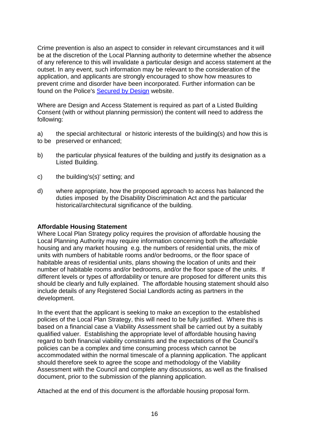Crime prevention is also an aspect to consider in relevant circumstances and it will be at the discretion of the Local Planning authority to determine whether the absence of any reference to this will invalidate a particular design and access statement at the outset. In any event, such information may be relevant to the consideration of the application, and applicants are strongly encouraged to show how measures to prevent crime and disorder have been incorporated. Further information can be found on the Police's [Secured by Design](http://www.securedbydesign.com/) website.

Where are Design and Access Statement is required as part of a Listed Building Consent (with or without planning permission) the content will need to address the following:

a) the special architectural or historic interests of the building(s) and how this is to be preserved or enhanced;

- b) the particular physical features of the building and justify its designation as a Listed Building.
- c) the building's(s)' setting; and
- d) where appropriate, how the proposed approach to access has balanced the duties imposed by the Disability Discrimination Act and the particular historical/architectural significance of the building.

#### **Affordable Housing Statement**

Where Local Plan Strategy policy requires the provision of affordable housing the Local Planning Authority may require information concerning both the affordable housing and any market housing e.g. the numbers of residential units, the mix of units with numbers of habitable rooms and/or bedrooms, or the floor space of habitable areas of residential units, plans showing the location of units and their number of habitable rooms and/or bedrooms, and/or the floor space of the units. If different levels or types of affordability or tenure are proposed for different units this should be clearly and fully explained. The affordable housing statement should also include details of any Registered Social Landlords acting as partners in the development.

In the event that the applicant is seeking to make an exception to the established policies of the Local Plan Strategy, this will need to be fully justified. Where this is based on a financial case a Viability Assessment shall be carried out by a suitably qualified valuer. Establishing the appropriate level of affordable housing having regard to both financial viability constraints and the expectations of the Council's policies can be a complex and time consuming process which cannot be accommodated within the normal timescale of a planning application. The applicant should therefore seek to agree the scope and methodology of the Viability Assessment with the Council and complete any discussions, as well as the finalised document, prior to the submission of the planning application.

Attached at the end of this document is the affordable housing proposal form.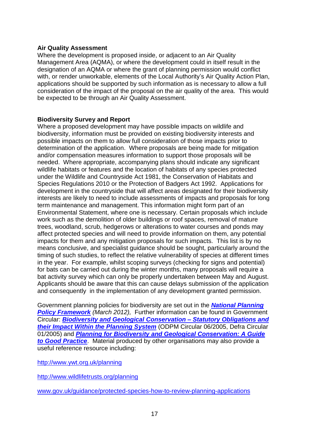#### **Air Quality Assessment**

Where the development is proposed inside, or adjacent to an Air Quality Management Area (AQMA), or where the development could in itself result in the designation of an AQMA or where the grant of planning permission would conflict with, or render unworkable, elements of the Local Authority's Air Quality Action Plan, applications should be supported by such information as is necessary to allow a full consideration of the impact of the proposal on the air quality of the area. This would be expected to be through an Air Quality Assessment.

# **Biodiversity Survey and Report**

Where a proposed development may have possible impacts on wildlife and biodiversity, information must be provided on existing biodiversity interests and possible impacts on them to allow full consideration of those impacts prior to determination of the application. Where proposals are being made for mitigation and/or compensation measures information to support those proposals will be needed. Where appropriate, accompanying plans should indicate any significant wildlife habitats or features and the location of habitats of any species protected under the Wildlife and Countryside Act 1981, the Conservation of Habitats and Species Regulations 2010 or the Protection of Badgers Act 1992. Applications for development in the countryside that will affect areas designated for their biodiversity interests are likely to need to include assessments of impacts and proposals for long term maintenance and management. This information might form part of an Environmental Statement, where one is necessary. Certain proposals which include work such as the demolition of older buildings or roof spaces, removal of mature trees, woodland, scrub, hedgerows or alterations to water courses and ponds may affect protected species and will need to provide information on them, any potential impacts for them and any mitigation proposals for such impacts. This list is by no means conclusive, and specialist guidance should be sought, particularly around the timing of such studies, to reflect the relative vulnerability of species at different times in the year. For example, whilst scoping surveys (checking for signs and potential) for bats can be carried out during the winter months, many proposals will require a bat activity survey which can only be properly undertaken between May and August. Applicants should be aware that this can cause delays submission of the application and consequently in the implementation of any development granted permission.

Government planning policies for biodiversity are set out in the *[National Planning](https://www.gov.uk/government/uploads/system/uploads/attachment_data/file/6077/2116950.pdf)  [Policy Framework](https://www.gov.uk/government/uploads/system/uploads/attachment_data/file/6077/2116950.pdf) (March 2012),* Further information can be found in Government Circular: *[Biodiversity and Geological](http://www.communities.gov.uk/documents/planningandbuilding/pdf/147570.pdf) Conservation – Statutory Obligations and [their Impact Within the Planning System](http://www.communities.gov.uk/documents/planningandbuilding/pdf/147570.pdf)* (ODPM Circular 06/2005, Defra Circular 01/2005) and *Planning for Biodiversity [and Geological Conservation: A Guide](http://www.communities.gov.uk/documents/planningandbuilding/pdf/143792.pdf)  [to Good Practice](http://www.communities.gov.uk/documents/planningandbuilding/pdf/143792.pdf)*. Material produced by other organisations may also provide a useful reference resource including:

<http://www.ywt.org.uk/planning>

<http://www.wildlifetrusts.org/planning>

[www.gov.uk/guidance/protected-species-how-to-review-planning-applications](http://www.gov.uk/guidance/protected-species-how-to-review-planning-applications)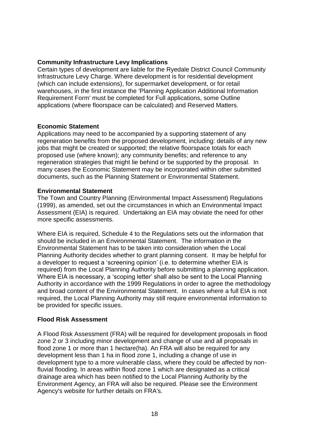# **Community Infrastructure Levy Implications**

Certain types of development are liable for the Ryedale District Council Community Infrastructure Levy Charge. Where development is for residential development (which can include extensions), for supermarket development, or for retail warehouses, in the first instance the 'Planning Application Additional Information Requirement Form' must be completed for Full applications, some Outline applications (where floorspace can be calculated) and Reserved Matters.

# **Economic Statement**

Applications may need to be accompanied by a supporting statement of any regeneration benefits from the proposed development, including: details of any new jobs that might be created or supported; the relative floorspace totals for each proposed use (where known); any community benefits; and reference to any regeneration strategies that might lie behind or be supported by the proposal. In many cases the Economic Statement may be incorporated within other submitted documents, such as the Planning Statement or Environmental Statement.

#### **Environmental Statement**

The Town and Country Planning (Environmental Impact Assessment) Regulations (1999), as amended, set out the circumstances in which an Environmental Impact Assessment (EIA) is required. Undertaking an EIA may obviate the need for other more specific assessments.

Where EIA is required, Schedule 4 to the Regulations sets out the information that should be included in an Environmental Statement. The information in the Environmental Statement has to be taken into consideration when the Local Planning Authority decides whether to grant planning consent. It may be helpful for a developer to request a 'screening opinion' (i.e. to determine whether EIA is required) from the Local Planning Authority before submitting a planning application. Where EIA is necessary, a 'scoping letter' shall also be sent to the Local Planning Authority in accordance with the 1999 Regulations in order to agree the methodology and broad content of the Environmental Statement. In cases where a full EIA is not required, the Local Planning Authority may still require environmental information to be provided for specific issues.

# **Flood Risk Assessment**

A Flood Risk Assessment (FRA) will be required for development proposals in flood zone 2 or 3 including minor development and change of use and all proposals in flood zone 1 or more than 1 hectare(ha). An FRA will also be required for any development less than 1 ha in flood zone 1, including a change of use in development type to a more vulnerable class, where they could be affected by nonfluvial flooding. In areas within flood zone 1 which are designated as a critical drainage area which has been notified to the Local Planning Authority by the Environment Agency, an FRA will also be required. Please see the Environment Agency's website for further details on FRA's.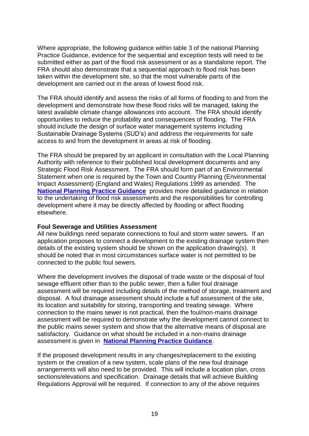Where appropriate, the following guidance within table 3 of the national Planning Practice Guidance, evidence for the sequential and exception tests will need to be submitted either as part of the flood risk assessment or as a standalone report. The FRA should also demonstrate that a sequential approach to flood risk has been taken within the development site, so that the most vulnerable parts of the development are carried out in the areas of lowest flood risk.

The FRA should identify and assess the risks of all forms of flooding to and from the development and demonstrate how these flood risks will be managed, taking the latest available climate change allowances into account. The FRA should identify opportunities to reduce the probability and consequences of flooding. The FRA should include the design of surface water management systems including Sustainable Drainage Systems (SUD's) and address the requirements for safe access to and from the development in areas at risk of flooding.

The FRA should be prepared by an applicant in consultation with the Local Planning Authority with reference to their published local development documents and any Strategic Flood Risk Assessment. The FRA should form part of an Environmental Statement when one is required by the Town and Country Planning (Environmental Impact Assessment) (England and Wales) Regulations 1999 as amended. The **[National Planning Practice Guidance](http://planningguidance.communities.gov.uk/)** provides more detailed guidance in relation to the undertaking of flood risk assessments and the responsibilities for controlling development where it may be directly affected by flooding or affect flooding elsewhere.

#### **Foul Sewerage and Utilities Assessment**

All new buildings need separate connections to foul and storm water sewers. If an application proposes to connect a development to the existing drainage system then details of the existing system should be shown on the application drawing(s). It should be noted that in most circumstances surface water is not permitted to be connected to the public foul sewers.

Where the development involves the disposal of trade waste or the disposal of foul sewage effluent other than to the public sewer, then a fuller foul drainage assessment will be required including details of the method of storage, treatment and disposal. A foul drainage assessment should include a full assessment of the site, its location and suitability for storing, transporting and treating sewage. Where connection to the mains sewer is not practical, then the foul/non-mains drainage assessment will be required to demonstrate why the development cannot connect to the public mains sewer system and show that the alternative means of disposal are satisfactory. Guidance on what should be included in a non-mains drainage assessment is given in **[National Planning Practice Guidance](http://planningguidance.communities.gov.uk/)**.

If the proposed development results in any changes/replacement to the existing system or the creation of a new system, scale plans of the new foul drainage arrangements will also need to be provided. This will include a location plan, cross sections/elevations and specification. Drainage details that will achieve Building Regulations Approval will be required. If connection to any of the above requires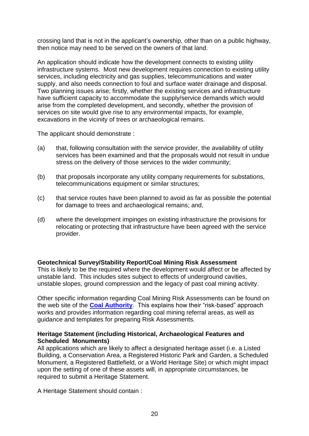crossing land that is not in the applicant's ownership, other than on a public highway, then notice may need to be served on the owners of that land.

An application should indicate how the development connects to existing utility infrastructure systems. Most new development requires connection to existing utility services, including electricity and gas supplies, telecommunications and water supply, and also needs connection to foul and surface water drainage and disposal. Two planning issues arise; firstly, whether the existing services and infrastructure have sufficient capacity to accommodate the supply/service demands which would arise from the completed development, and secondly, whether the provision of services on site would give rise to any environmental impacts, for example, excavations in the vicinity of trees or archaeological remains.

The applicant should demonstrate :

- (a) that, following consultation with the service provider, the availability of utility services has been examined and that the proposals would not result in undue stress on the delivery of those services to the wider community;
- (b) that proposals incorporate any utility company requirements for substations, telecommunications equipment or similar structures;
- (c) that service routes have been planned to avoid as far as possible the potential for damage to trees and archaeological remains; and,
- (d) where the development impinges on existing infrastructure the provisions for relocating or protecting that infrastructure have been agreed with the service provider.

# **Geotechnical Survey/Stability Report/Coal Mining Risk Assessment**

This is likely to be the required where the development would affect or be affected by unstable land. This includes sites subject to effects of underground cavities, unstable slopes, ground compression and the legacy of past coal mining activity.

Other specific information regarding Coal Mining Risk Assessments can be found on the web site of the **[Coal Authority](http://www.coal.gov.uk/services/planning/development-management-strategy.cfm)**. This explains how their "risk-based" approach works and provides information regarding coal mining referral areas, as well as guidance and templates for preparing Risk Assessments.

# **Heritage Statement (including Historical, Archaeological Features and Scheduled Monuments)**

All applications which are likely to affect a designated heritage asset (i.e. a Listed Building, a Conservation Area, a Registered Historic Park and Garden, a Scheduled Monument, a Registered Battlefield, or a World Heritage Site) or which might impact upon the setting of one of these assets will, in appropriate circumstances, be required to submit a Heritage Statement.

A Heritage Statement should contain :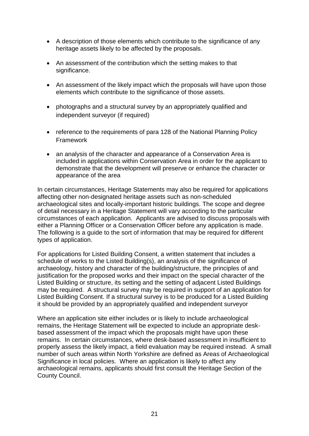- A description of those elements which contribute to the significance of any heritage assets likely to be affected by the proposals.
- An assessment of the contribution which the setting makes to that significance.
- An assessment of the likely impact which the proposals will have upon those elements which contribute to the significance of those assets.
- photographs and a structural survey by an appropriately qualified and independent surveyor (if required)
- reference to the requirements of para 128 of the National Planning Policy Framework
- an analysis of the character and appearance of a Conservation Area is included in applications within Conservation Area in order for the applicant to demonstrate that the development will preserve or enhance the character or appearance of the area

In certain circumstances, Heritage Statements may also be required for applications affecting other non-designated heritage assets such as non-scheduled archaeological sites and locally-important historic buildings. The scope and degree of detail necessary in a Heritage Statement will vary according to the particular circumstances of each application. Applicants are advised to discuss proposals with either a Planning Officer or a Conservation Officer before any application is made. The following is a guide to the sort of information that may be required for different types of application.

For applications for Listed Building Consent, a written statement that includes a schedule of works to the Listed Building(s), an analysis of the significance of archaeology, history and character of the building/structure, the principles of and justification for the proposed works and their impact on the special character of the Listed Building or structure, its setting and the setting of adjacent Listed Buildings may be required. A structural survey may be required in support of an application for Listed Building Consent. If a structural survey is to be produced for a Listed Building it should be provided by an appropriately qualified and independent surveyor

Where an application site either includes or is likely to include archaeological remains, the Heritage Statement will be expected to include an appropriate deskbased assessment of the impact which the proposals might have upon these remains. In certain circumstances, where desk-based assessment in insufficient to properly assess the likely impact, a field evaluation may be required instead. A small number of such areas within North Yorkshire are defined as Areas of Archaeological Significance in local policies. Where an application is likely to affect any archaeological remains, applicants should first consult the Heritage Section of the County Council.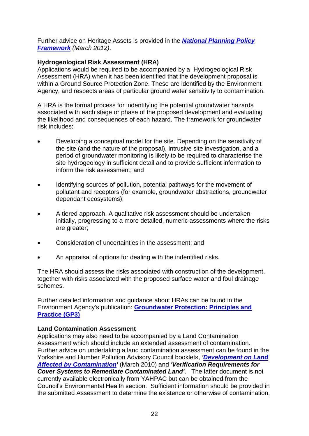Further advice on Heritage Assets is provided in the *[National Planning Policy](https://www.gov.uk/government/uploads/system/uploads/attachment_data/file/6077/2116950.pdf)  [Framework](https://www.gov.uk/government/uploads/system/uploads/attachment_data/file/6077/2116950.pdf) (March 2012)*.

# **Hydrogeological Risk Assessment (HRA)**

Applications would be required to be accompanied by a Hydrogeological Risk Assessment (HRA) when it has been identified that the development proposal is within a Ground Source Protection Zone. These are identified by the Environment Agency, and respects areas of particular ground water sensitivity to contamination.

A HRA is the formal process for indentifying the potential groundwater hazards associated with each stage or phase of the proposed development and evaluating the likelihood and consequences of each hazard. The framework for groundwater risk includes:

- Developing a conceptual model for the site. Depending on the sensitivity of the site (and the nature of the proposal), intrusive site investigation, and a period of groundwater monitoring is likely to be required to characterise the site hydrogeology in sufficient detail and to provide sufficient information to inform the risk assessment; and
- Identifying sources of pollution, potential pathways for the movement of pollutant and receptors (for example, groundwater abstractions, groundwater dependant ecosystems);
- A tiered approach. A qualitative risk assessment should be undertaken initially, progressing to a more detailed, numeric assessments where the risks are greater;
- Consideration of uncertainties in the assessment; and
- An appraisal of options for dealing with the indentified risks.

The HRA should assess the risks associated with construction of the development, together with risks associated with the proposed surface water and foul drainage schemes.

Further detailed information and guidance about HRAs can be found in the Environment Agency's publication: **[Groundwater Protection: Principles and](https://www.gov.uk/government/uploads/system/uploads/attachment_data/file/297347/LIT_7660_9a3742.pdf)  [Practice \(GP3\)](https://www.gov.uk/government/uploads/system/uploads/attachment_data/file/297347/LIT_7660_9a3742.pdf)**

# **Land Contamination Assessment**

Applications may also need to be accompanied by a Land Contamination Assessment which should include an extended assessment of contamination. Further advice on undertaking a land contamination assessment can be found in the Yorkshire and Humber Pollution Advisory Council booklets, *['Development on Land](http://www.ryedale.gov.uk/pdf/YAHPAC%20Guidance(contaminatede%20Land)%20(version%202%202).March%202010pdf.pdf)  [Affected by Contamination'](http://www.ryedale.gov.uk/pdf/YAHPAC%20Guidance(contaminatede%20Land)%20(version%202%202).March%202010pdf.pdf)* (March 2010) and *'Verification Requirements for Cover Systems to Remediate Contaminated Land'*. The latter document is not currently available electronically from YAHPAC but can be obtained from the Council's Environmental Health section. Sufficient information should be provided in the submitted Assessment to determine the existence or otherwise of contamination,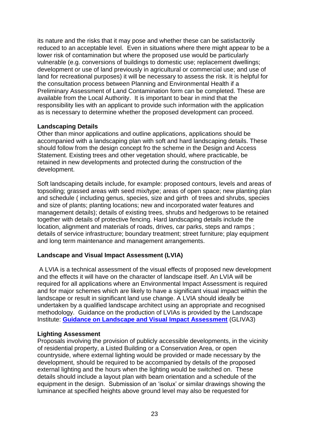its nature and the risks that it may pose and whether these can be satisfactorily reduced to an acceptable level. Even in situations where there might appear to be a lower risk of contamination but where the proposed use would be particularly vulnerable (e.g. conversions of buildings to domestic use; replacement dwellings; development or use of land previously in agricultural or commercial use; and use of land for recreational purposes) it will be necessary to assess the risk. It is helpful for the consultation process between Planning and Environmental Health if a Preliminary Assessment of Land Contamination form can be completed. These are available from the Local Authority. It is important to bear in mind that the responsibility lies with an applicant to provide such information with the application as is necessary to determine whether the proposed development can proceed.

# **Landscaping Details**

Other than minor applications and outline applications, applications should be accompanied with a landscaping plan with soft and hard landscaping details. These should follow from the design concept fro the scheme in the Design and Access Statement. Existing trees and other vegetation should, where practicable, be retained in new developments and protected during the construction of the development.

Soft landscaping details include, for example: proposed contours, levels and areas of topsoiling; grassed areas with seed mix/type; areas of open space; new planting plan and schedule ( including genus, species, size and girth of trees and shrubs, species and size of plants; planting locations; new and incorporated water features and management details); details of existing trees, shrubs and hedgerows to be retained together with details of protective fencing. Hard landscaping details include the location, alignment and materials of roads, drives, car parks, steps and ramps ; details of service infrastructure; boundary treatment; street furniture; play equipment and long term maintenance and management arrangements.

# **Landscape and Visual Impact Assessment (LVIA)**

A LVIA is a technical assessment of the visual effects of proposed new development and the effects it will have on the character of landscape itself. An LVIA will be required for all applications where an Environmental Impact Assessment is required and for major schemes which are likely to have a significant visual impact within the landscape or result in significant land use change. A LVIA should ideally be undertaken by a qualified landscape architect using an appropriate and recognised methodology. Guidance on the production of LVIAs is provided by the Landscape Institute: **[Guidance on Landscape and Visual Impact Assessment](http://www.landscapeinstitute.org/knowledge/GLVIA.php)** (GLIVA3)

# **Lighting Assessment**

Proposals involving the provision of publicly accessible developments, in the vicinity of residential property, a Listed Building or a Conservation Area, or open countryside, where external lighting would be provided or made necessary by the development, should be required to be accompanied by details of the proposed external lighting and the hours when the lighting would be switched on. These details should include a layout plan with beam orientation and a schedule of the equipment in the design. Submission of an 'isolux' or similar drawings showing the luminance at specified heights above ground level may also be requested for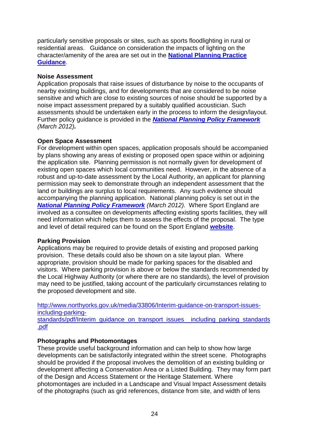particularly sensitive proposals or sites, such as sports floodlighting in rural or residential areas. Guidance on consideration the impacts of lighting on the character/amenity of the area are set out in the **[National Planning Practice](http://planningguidance.communities.gov.uk/)  [Guidance](http://planningguidance.communities.gov.uk/)**.

#### **Noise Assessment**

Application proposals that raise issues of disturbance by noise to the occupants of nearby existing buildings, and for developments that are considered to be noise sensitive and which are close to existing sources of noise should be supported by a noise impact assessment prepared by a suitably qualified acoustician. Such assessments should be undertaken early in the process to inform the design/layout. Further policy guidance is provided in the *[National Planning Policy Framework](https://www.gov.uk/government/uploads/system/uploads/attachment_data/file/6077/2116950.pdf) (March 2012).*

# **Open Space Assessment**

For development within open spaces, application proposals should be accompanied by plans showing any areas of existing or proposed open space within or adjoining the application site. Planning permission is not normally given for development of existing open spaces which local communities need. However, in the absence of a robust and up-to-date assessment by the Local Authority, an applicant for planning permission may seek to demonstrate through an independent assessment that the land or buildings are surplus to local requirements. Any such evidence should accompanying the planning application. National planning policy is set out in the *[National Planning Policy Framework](https://www.gov.uk/government/uploads/system/uploads/attachment_data/file/6077/2116950.pdf) (March 2012).* Where Sport England are involved as a consultee on developments affecting existing sports facilities, they will need information which helps them to assess the effects of the proposal. The type and level of detail required can be found on the Sport England **[website](http://www.sportengland.org/facilities-planning/planning-for-sport/development-management/)**.

# **Parking Provision**

Applications may be required to provide details of existing and proposed parking provision. These details could also be shown on a site layout plan. Where appropriate, provision should be made for parking spaces for the disabled and visitors. Where parking provision is above or below the standards recommended by the Local Highway Authority (or where there are no standards), the level of provision may need to be justified, taking account of the particularly circumstances relating to the proposed development and site.

[http://www.northyorks.gov.uk/media/33806/Interim-guidance-on-transport-issues](http://www.northyorks.gov.uk/media/33806/Interim-guidance-on-transport-issues-including-parking-standards/pdf/Interim_guidance_on_transport_issues__including_parking_standards.pdf)[including-parking](http://www.northyorks.gov.uk/media/33806/Interim-guidance-on-transport-issues-including-parking-standards/pdf/Interim_guidance_on_transport_issues__including_parking_standards.pdf)standards/pdf/Interim\_quidance\_on\_transport\_issues\_\_including\_parking\_standards [.pdf](http://www.northyorks.gov.uk/media/33806/Interim-guidance-on-transport-issues-including-parking-standards/pdf/Interim_guidance_on_transport_issues__including_parking_standards.pdf)

# **Photographs and Photomontages**

These provide useful background information and can help to show how large developments can be satisfactorily integrated within the street scene. Photographs should be provided if the proposal involves the demolition of an existing building or development affecting a Conservation Area or a Listed Building. They may form part of the Design and Access Statement or the Heritage Statement. Where photomontages are included in a Landscape and Visual Impact Assessment details of the photographs (such as grid references, distance from site, and width of lens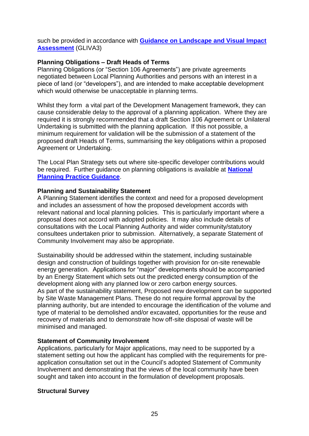such be provided in accordance with **[Guidance on Landscape and Visual Impact](http://www.landscapeinstitute.org/knowledge/GLVIA.php)  [Assessment](http://www.landscapeinstitute.org/knowledge/GLVIA.php)** (GLIVA3)

#### **Planning Obligations – Draft Heads of Terms**

Planning Obligations (or "Section 106 Agreements") are private agreements negotiated between Local Planning Authorities and persons with an interest in a piece of land (or "developers"), and are intended to make acceptable development which would otherwise be unacceptable in planning terms.

Whilst they form a vital part of the Development Management framework, they can cause considerable delay to the approval of a planning application. Where they are required it is strongly recommended that a draft Section 106 Agreement or Unilateral Undertaking is submitted with the planning application. If this not possible, a minimum requirement for validation will be the submission of a statement of the proposed draft Heads of Terms, summarising the key obligations within a proposed Agreement or Undertaking.

The Local Plan Strategy sets out where site-specific developer contributions would be required. Further guidance on planning obligations is available at **[National](http://planningguidance.communities.gov.uk/)  [Planning Practice Guidance](http://planningguidance.communities.gov.uk/)**.

#### **Planning and Sustainability Statement**

A Planning Statement identifies the context and need for a proposed development and includes an assessment of how the proposed development accords with relevant national and local planning policies. This is particularly important where a proposal does not accord with adopted policies. It may also include details of consultations with the Local Planning Authority and wider community/statutory consultees undertaken prior to submission. Alternatively, a separate Statement of Community Involvement may also be appropriate.

Sustainability should be addressed within the statement, including sustainable design and construction of buildings together with provision for on-site renewable energy generation. Applications for "major" developments should be accompanied by an Energy Statement which sets out the predicted energy consumption of the development along with any planned low or zero carbon energy sources. As part of the sustainability statement, Proposed new development can be supported by Site Waste Management Plans. These do not require formal approval by the planning authority, but are intended to encourage the identification of the volume and type of material to be demolished and/or excavated, opportunities for the reuse and recovery of materials and to demonstrate how off-site disposal of waste will be minimised and managed.

#### **Statement of Community Involvement**

Applications, particularly for Major applications, may need to be supported by a statement setting out how the applicant has complied with the requirements for preapplication consultation set out in the Council's adopted Statement of Community Involvement and demonstrating that the views of the local community have been sought and taken into account in the formulation of development proposals.

#### **Structural Survey**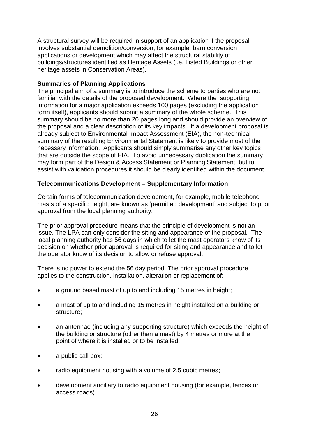A structural survey will be required in support of an application if the proposal involves substantial demolition/conversion, for example, barn conversion applications or development which may affect the structural stability of buildings/structures identified as Heritage Assets (i.e. Listed Buildings or other heritage assets in Conservation Areas).

#### **Summaries of Planning Applications**

The principal aim of a summary is to introduce the scheme to parties who are not familiar with the details of the proposed development. Where the supporting information for a major application exceeds 100 pages (excluding the application form itself), applicants should submit a summary of the whole scheme. This summary should be no more than 20 pages long and should provide an overview of the proposal and a clear description of its key impacts. If a development proposal is already subject to Environmental Impact Assessment (EIA), the non-technical summary of the resulting Environmental Statement is likely to provide most of the necessary information. Applicants should simply summarise any other key topics that are outside the scope of EIA. To avoid unnecessary duplication the summary may form part of the Design & Access Statement or Planning Statement, but to assist with validation procedures it should be clearly identified within the document.

# **Telecommunications Development – Supplementary Information**

Certain forms of telecommunication development, for example, mobile telephone masts of a specific height, are known as 'permitted development' and subject to prior approval from the local planning authority.

The prior approval procedure means that the principle of development is not an issue. The LPA can only consider the siting and appearance of the proposal. The local planning authority has 56 days in which to let the mast operators know of its decision on whether prior approval is required for siting and appearance and to let the operator know of its decision to allow or refuse approval.

There is no power to extend the 56 day period. The prior approval procedure applies to the construction, installation, alteration or replacement of:

- a ground based mast of up to and including 15 metres in height;
- a mast of up to and including 15 metres in height installed on a building or structure;
- an antennae (including any supporting structure) which exceeds the height of the building or structure (other than a mast) by 4 metres or more at the point of where it is installed or to be installed;
- a public call box;
- radio equipment housing with a volume of 2.5 cubic metres;
- development ancillary to radio equipment housing (for example, fences or access roads).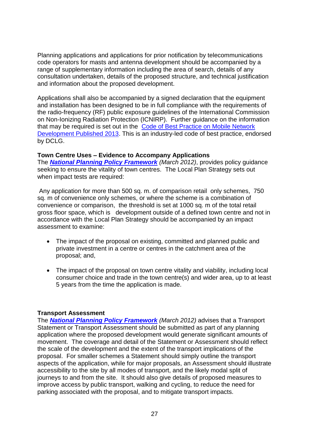Planning applications and applications for prior notification by telecommunications code operators for masts and antenna development should be accompanied by a range of supplementary information including the area of search, details of any consultation undertaken, details of the proposed structure, and technical justification and information about the proposed development.

Applications shall also be accompanied by a signed declaration that the equipment and installation has been designed to be in full compliance with the requirements of the radio-frequency (RF) public exposure guidelines of the International Commission on Non-Ionizing Radiation Protection (ICNIRP). Further guidance on the information that may be required is set out in the [Code of Best Practice on Mobile Network](http://www.mobilemastinfo.com/images/stories/2013_Code_of_best_practice/Code_of_Best_Practice_on_Mobile_Network_Development_-_Published_24-07-2013.pdf)  [Development Published 2013.](http://www.mobilemastinfo.com/images/stories/2013_Code_of_best_practice/Code_of_Best_Practice_on_Mobile_Network_Development_-_Published_24-07-2013.pdf) This is an industry-led code of best practice, endorsed by DCLG.

#### **Town Centre Uses – Evidence to Accompany Applications**

The *[National Planning Policy Framework](http://hari/) (March 2012)*, provides policy guidance seeking to ensure the vitality of town centres. The Local Plan Strategy sets out when impact tests are required:

Any application for more than 500 sq. m. of comparison retail only schemes, 750 sq. m of convenience only schemes, or where the scheme is a combination of convenience or comparison, the threshold is set at 1000 sq. m of the total retail gross floor space, which is development outside of a defined town centre and not in accordance with the Local Plan Strategy should be accompanied by an impact assessment to examine:

- The impact of the proposal on existing, committed and planned public and private investment in a centre or centres in the catchment area of the proposal; and,
- The impact of the proposal on town centre vitality and viability, including local consumer choice and trade in the town centre(s) and wider area, up to at least 5 years from the time the application is made.

#### **Transport Assessment**

The *[National Planning Policy Framework](https://www.gov.uk/government/uploads/system/uploads/attachment_data/file/6077/2116950.pdf) (March 2012)* advises that a Transport Statement or Transport Assessment should be submitted as part of any planning application where the proposed development would generate significant amounts of movement. The coverage and detail of the Statement or Assessment should reflect the scale of the development and the extent of the transport implications of the proposal. For smaller schemes a Statement should simply outline the transport aspects of the application, while for major proposals, an Assessment should illustrate accessibility to the site by all modes of transport, and the likely modal split of journeys to and from the site. It should also give details of proposed measures to improve access by public transport, walking and cycling, to reduce the need for parking associated with the proposal, and to mitigate transport impacts.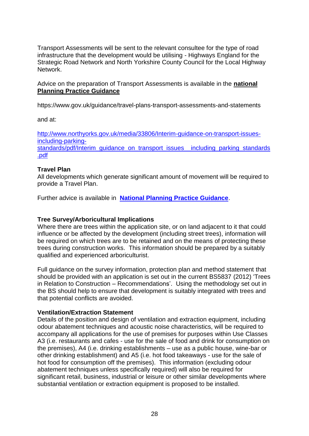Transport Assessments will be sent to the relevant consultee for the type of road infrastructure that the development would be utilising - Highways England for the Strategic Road Network and North Yorkshire County Council for the Local Highway Network.

Advice on the preparation of Transport Assessments is available in the **national Planning Practice Guidance**

https://www.gov.uk/guidance/travel-plans-transport-assessments-and-statements

and at:

[http://www.northyorks.gov.uk/media/33806/Interim-guidance-on-transport-issues](http://www.northyorks.gov.uk/media/33806/Interim-guidance-on-transport-issues-including-parking-standards/pdf/Interim_guidance_on_transport_issues__including_parking_standards.pdf)[including-parking-](http://www.northyorks.gov.uk/media/33806/Interim-guidance-on-transport-issues-including-parking-standards/pdf/Interim_guidance_on_transport_issues__including_parking_standards.pdf)

standards/pdf/Interim\_quidance\_on\_transport\_issues\_\_including\_parking\_standards [.pdf](http://www.northyorks.gov.uk/media/33806/Interim-guidance-on-transport-issues-including-parking-standards/pdf/Interim_guidance_on_transport_issues__including_parking_standards.pdf)

# **Travel Plan**

All developments which generate significant amount of movement will be required to provide a Travel Plan.

Further advice is available in **[National Planning Practice Guidance](http://planningguidance.communities.gov.uk/)**.

# **Tree Survey/Arboricultural Implications**

Where there are trees within the application site, or on land adjacent to it that could influence or be affected by the development (including street trees), information will be required on which trees are to be retained and on the means of protecting these trees during construction works. This information should be prepared by a suitably qualified and experienced arboriculturist.

Full guidance on the survey information, protection plan and method statement that should be provided with an application is set out in the current BS5837 (2012) 'Trees in Relation to Construction – Recommendations'. Using the methodology set out in the BS should help to ensure that development is suitably integrated with trees and that potential conflicts are avoided.

#### **Ventilation/Extraction Statement**

Details of the position and design of ventilation and extraction equipment, including odour abatement techniques and acoustic noise characteristics, will be required to accompany all applications for the use of premises for purposes within Use Classes A3 (i.e. restaurants and cafes - use for the sale of food and drink for consumption on the premises), A4 (i.e. drinking establishments – use as a public house, wine-bar or other drinking establishment) and A5 (i.e. hot food takeaways - use for the sale of hot food for consumption off the premises). This information (excluding odour abatement techniques unless specifically required) will also be required for significant retail, business, industrial or leisure or other similar developments where substantial ventilation or extraction equipment is proposed to be installed.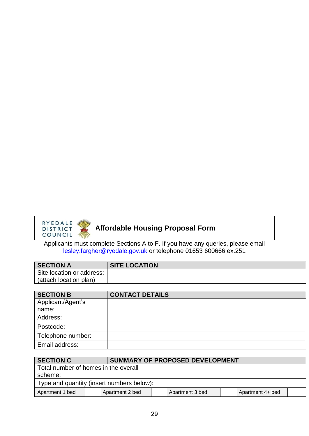

# **Affordable Housing Proposal Form**

Applicants must complete Sections A to F. If you have any queries, please email [lesley.fargher@ryedale.gov.uk](mailto:lesley.fargher@ryedale.gov.uk) or telephone 01653 600666 ex.251

| <b>SECTION A</b>          | <b>SITE LOCATION</b> |
|---------------------------|----------------------|
| Site location or address: |                      |
| (attach location plan)    |                      |

| <b>SECTION B</b>  | <b>CONTACT DETAILS</b> |
|-------------------|------------------------|
| Applicant/Agent's |                        |
| name:             |                        |
| Address:          |                        |
| Postcode:         |                        |
| Telephone number: |                        |
| Email address:    |                        |

| <b>SECTION C</b>                          |                 | SUMMARY OF PROPOSED DEVELOPMENT |                 |  |                  |  |
|-------------------------------------------|-----------------|---------------------------------|-----------------|--|------------------|--|
| Total number of homes in the overall      |                 |                                 |                 |  |                  |  |
| scheme:                                   |                 |                                 |                 |  |                  |  |
| Type and quantity (insert numbers below): |                 |                                 |                 |  |                  |  |
| Apartment 1 bed                           | Apartment 2 bed |                                 | Apartment 3 bed |  | Apartment 4+ bed |  |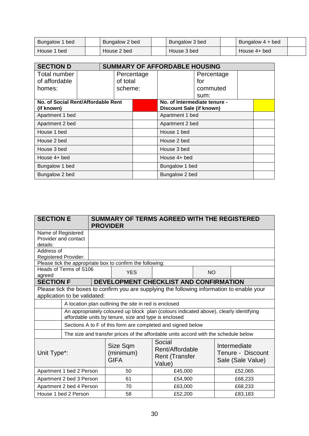| Bungalow 1 bed | Bungalow 2 bed | Bungalow 3 bed | Bungalow 4 + bed |  |
|----------------|----------------|----------------|------------------|--|
| House 1 bed    | House 2 bed    | House 3 bed    | House 4+ bed     |  |

| <b>SECTION D</b>                                 |            | <b>SUMMARY OF AFFORDABLE HOUSING</b> |                          |                              |  |
|--------------------------------------------------|------------|--------------------------------------|--------------------------|------------------------------|--|
| Total number                                     | Percentage |                                      |                          | Percentage                   |  |
| of affordable                                    |            | of total                             |                          | for                          |  |
| homes:                                           |            | scheme:                              |                          | commuted                     |  |
|                                                  |            |                                      |                          | sum:                         |  |
| No. of Social Rent/Affordable Rent<br>(if known) |            |                                      | Discount Sale (if known) | No. of Intermediate tenure - |  |
| Apartment 1 bed                                  |            |                                      | Apartment 1 bed          |                              |  |
| Apartment 2 bed                                  |            |                                      | Apartment 2 bed          |                              |  |
| House 1 bed                                      |            |                                      | House 1 bed              |                              |  |
| House 2 bed                                      |            |                                      | House 2 bed              |                              |  |
| House 3 bed                                      |            |                                      | House 3 bed              |                              |  |
| House 4+ bed                                     |            |                                      | House 4+ bed             |                              |  |
| Bungalow 1 bed                                   |            |                                      | Bungalow 1 bed           |                              |  |
| Bungalow 2 bed                                   |            |                                      | Bungalow 2 bed           |                              |  |

| <b>SECTION E</b>                                                                                                            |                                                       |    | SUMMARY OF TERMS AGREED WITH THE REGISTERED<br><b>PROVIDER</b>                                                                                  |                                                              |           |         |                                                        |
|-----------------------------------------------------------------------------------------------------------------------------|-------------------------------------------------------|----|-------------------------------------------------------------------------------------------------------------------------------------------------|--------------------------------------------------------------|-----------|---------|--------------------------------------------------------|
| Name of Registered<br>Provider and contact<br>details:                                                                      |                                                       |    |                                                                                                                                                 |                                                              |           |         |                                                        |
| Address of                                                                                                                  | <b>Registered Provider:</b>                           |    |                                                                                                                                                 |                                                              |           |         |                                                        |
|                                                                                                                             |                                                       |    | Please tick the appropriate box to confirm the following:                                                                                       |                                                              |           |         |                                                        |
| agreed                                                                                                                      | Heads of Terms of S106                                |    | <b>YES</b>                                                                                                                                      |                                                              | <b>NO</b> |         |                                                        |
| <b>SECTION F</b>                                                                                                            |                                                       |    | DEVELOPMENT CHECKLIST AND CONFIRMATION                                                                                                          |                                                              |           |         |                                                        |
| Please tick the boxes to confirm you are supplying the following information to enable your<br>application to be validated: |                                                       |    |                                                                                                                                                 |                                                              |           |         |                                                        |
|                                                                                                                             | A location plan outlining the site in red is enclosed |    |                                                                                                                                                 |                                                              |           |         |                                                        |
|                                                                                                                             |                                                       |    | An appropriately coloured up block plan (colours indicated above), clearly identifying<br>affordable units by tenure, size and type is enclosed |                                                              |           |         |                                                        |
|                                                                                                                             |                                                       |    | Sections A to F of this form are completed and signed below                                                                                     |                                                              |           |         |                                                        |
|                                                                                                                             |                                                       |    | The size and transfer prices of the affordable units accord with the schedule below                                                             |                                                              |           |         |                                                        |
| Unit Type*:                                                                                                                 |                                                       |    | Size Sqm<br>(minimum)<br><b>GIFA</b>                                                                                                            | Social<br>Rent/Affordable<br><b>Rent (Transfer</b><br>Value) |           |         | Intermediate<br>Tenure - Discount<br>Sale (Sale Value) |
| Apartment 1 bed 2 Person                                                                                                    |                                                       | 50 | £45,000                                                                                                                                         |                                                              |           | £52,065 |                                                        |
| Apartment 2 bed 3 Person                                                                                                    |                                                       |    | 61                                                                                                                                              | £54,900                                                      |           |         | £68,233                                                |
| Apartment 2 bed 4 Person                                                                                                    |                                                       |    | 70                                                                                                                                              | £63,000                                                      |           |         | £68,233                                                |
| House 1 bed 2 Person                                                                                                        |                                                       |    | 58                                                                                                                                              | £52,200                                                      |           |         | £83,183                                                |